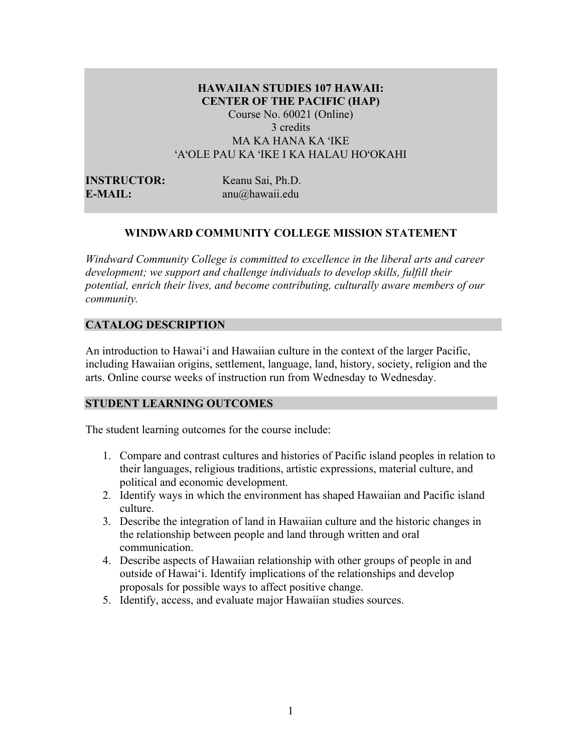## **HAWAIIAN STUDIES 107 HAWAII: CENTER OF THE PACIFIC (HAP)** Course No. 60021 (Online) 3 credits MA KA HANA KA ʻIKE ʻAʻOLE PAU KA ʻIKE I KA HALAU HOʻOKAHI

**E-MAIL:** anu@hawaii.edu

**INSTRUCTOR:** Keanu Sai, Ph.D.

## **WINDWARD COMMUNITY COLLEGE MISSION STATEMENT**

*Windward Community College is committed to excellence in the liberal arts and career development; we support and challenge individuals to develop skills, fulfill their potential, enrich their lives, and become contributing, culturally aware members of our community.*

## **CATALOG DESCRIPTION**

An introduction to Hawai'i and Hawaiian culture in the context of the larger Pacific, including Hawaiian origins, settlement, language, land, history, society, religion and the arts. Online course weeks of instruction run from Wednesday to Wednesday.

## **STUDENT LEARNING OUTCOMES**

The student learning outcomes for the course include:

- 1. Compare and contrast cultures and histories of Pacific island peoples in relation to their languages, religious traditions, artistic expressions, material culture, and political and economic development.
- 2. Identify ways in which the environment has shaped Hawaiian and Pacific island culture.
- 3. Describe the integration of land in Hawaiian culture and the historic changes in the relationship between people and land through written and oral communication.
- 4. Describe aspects of Hawaiian relationship with other groups of people in and outside of Hawai'i. Identify implications of the relationships and develop proposals for possible ways to affect positive change.
- 5. Identify, access, and evaluate major Hawaiian studies sources.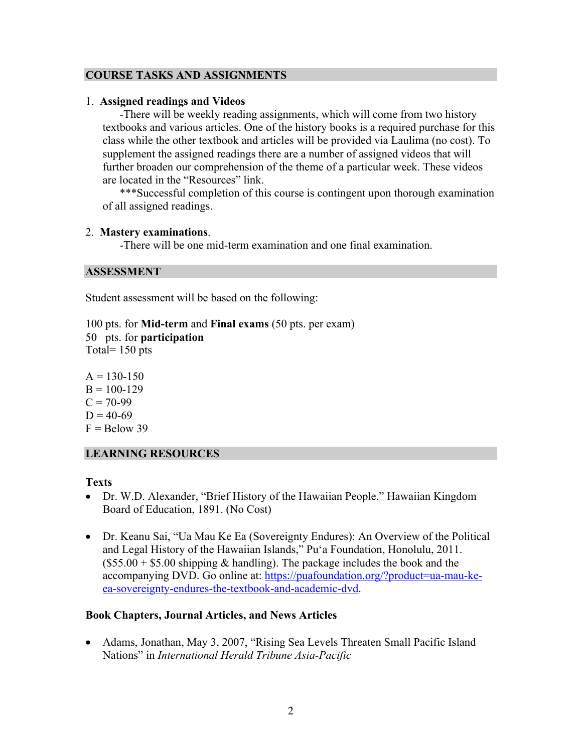## **COURSE TASKS AND ASSIGNMENTS**

## 1. **Assigned readings and Videos**

-There will be weekly reading assignments, which will come from two history textbooks and various articles. One of the history books is a required purchase for this class while the other textbook and articles will be provided via Laulima (no cost). To supplement the assigned readings there are a number of assigned videos that will further broaden our comprehension of the theme of a particular week. These videos are located in the "Resources" link.

\*\*\*Successful completion of this course is contingent upon thorough examination of all assigned readings.

### 2. **Mastery examinations**.

-There will be one mid-term examination and one final examination.

### **ASSESSMENT**

Student assessment will be based on the following:

100 pts. for **Mid-term** and **Final exams** (50 pts. per exam) 50 pts. for **participation**  Total= 150 pts

 $A = 130 - 150$  $B = 100 - 129$  $C = 70-99$  $D = 40-69$  $F =$ Below 39

## **LEARNING RESOURCES**

## **Texts**

- Dr. W.D. Alexander, "Brief History of the Hawaiian People." Hawaiian Kingdom Board of Education, 1891. (No Cost)
- Dr. Keanu Sai, "Ua Mau Ke Ea (Sovereignty Endures): An Overview of the Political and Legal History of the Hawaiian Islands," Pu'a Foundation, Honolulu, 2011.  $($55.00 + $5.00$  shipping & handling). The package includes the book and the accompanying DVD. Go online at: https://puafoundation.org/?product=ua-mau-keea-sovereignty-endures-the-textbook-and-academic-dvd.

## **Book Chapters, Journal Articles, and News Articles**

• Adams, Jonathan, May 3, 2007, "Rising Sea Levels Threaten Small Pacific Island Nations" in *International Herald Tribune Asia-Pacific*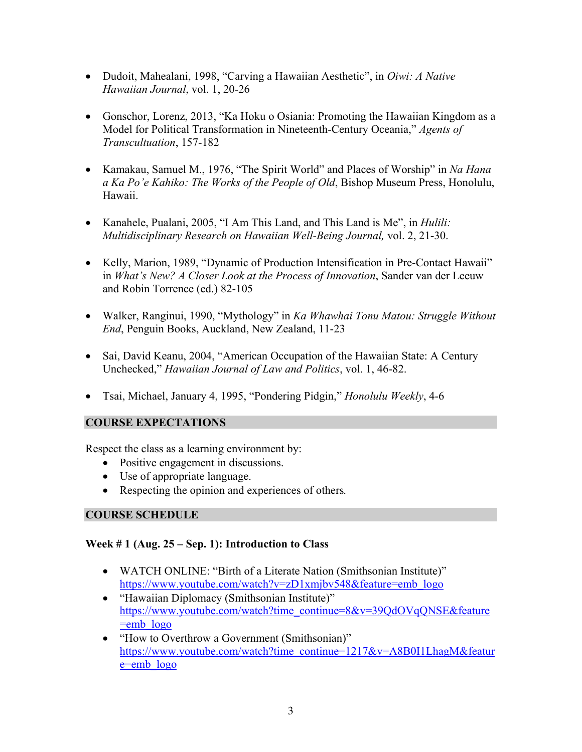- Dudoit, Mahealani, 1998, "Carving a Hawaiian Aesthetic", in *Oiwi: A Native Hawaiian Journal*, vol. 1, 20-26
- Gonschor, Lorenz, 2013, "Ka Hoku o Osiania: Promoting the Hawaiian Kingdom as a Model for Political Transformation in Nineteenth-Century Oceania," *Agents of Transcultuation*, 157-182
- Kamakau, Samuel M., 1976, "The Spirit World" and Places of Worship" in *Na Hana a Ka Po'e Kahiko: The Works of the People of Old*, Bishop Museum Press, Honolulu, Hawaii.
- Kanahele, Pualani, 2005, "I Am This Land, and This Land is Me", in *Hulili: Multidisciplinary Research on Hawaiian Well-Being Journal,* vol. 2, 21-30.
- Kelly, Marion, 1989, "Dynamic of Production Intensification in Pre-Contact Hawaii" in *What's New? A Closer Look at the Process of Innovation*, Sander van der Leeuw and Robin Torrence (ed.) 82-105
- Walker, Ranginui, 1990, "Mythology" in *Ka Whawhai Tonu Matou: Struggle Without End*, Penguin Books, Auckland, New Zealand, 11-23
- Sai, David Keanu, 2004, "American Occupation of the Hawaiian State: A Century Unchecked," *Hawaiian Journal of Law and Politics*, vol. 1, 46-82.
- Tsai, Michael, January 4, 1995, "Pondering Pidgin," *Honolulu Weekly*, 4-6

## **COURSE EXPECTATIONS**

Respect the class as a learning environment by:

- Positive engagement in discussions.
- Use of appropriate language.
- Respecting the opinion and experiences of others*.*

## **COURSE SCHEDULE**

## **Week # 1 (Aug. 25 – Sep. 1): Introduction to Class**

- WATCH ONLINE: "Birth of a Literate Nation (Smithsonian Institute)" https://www.youtube.com/watch?v=zD1xmjbv548&feature=emb\_logo
- "Hawaiian Diplomacy (Smithsonian Institute)" https://www.youtube.com/watch?time\_continue=8&v=39QdOVqQNSE&feature  $=$ emb $\log$ o
- "How to Overthrow a Government (Smithsonian)" https://www.youtube.com/watch?time\_continue=1217&v=A8B0I1LhagM&featur e=emb\_logo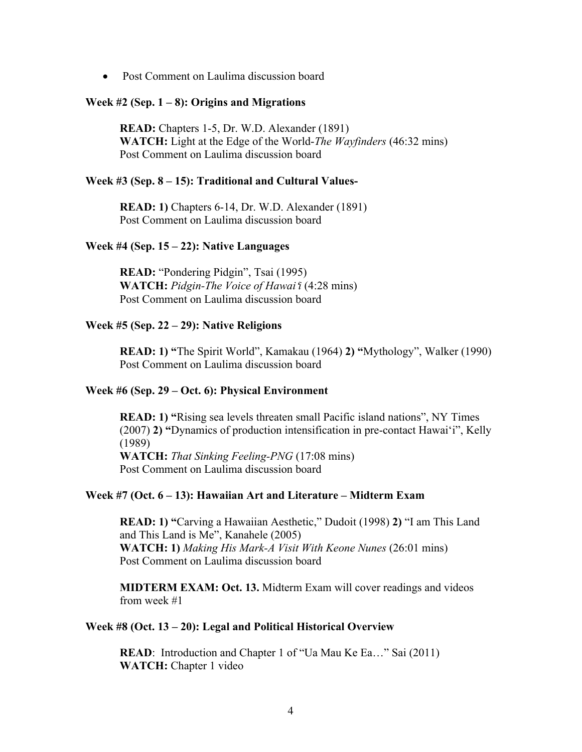• Post Comment on Laulima discussion board

#### **Week #2 (Sep. 1 – 8): Origins and Migrations**

**READ:** Chapters 1-5, Dr. W.D. Alexander (1891) **WATCH:** Light at the Edge of the World-*The Wayfinders* (46:32 mins) Post Comment on Laulima discussion board

#### **Week #3 (Sep. 8 – 15): Traditional and Cultural Values-**

**READ: 1)** Chapters 6-14, Dr. W.D. Alexander (1891) Post Comment on Laulima discussion board

#### **Week #4 (Sep. 15 – 22): Native Languages**

**READ:** "Pondering Pidgin", Tsai (1995) **WATCH:** *Pidgin-The Voice of Hawai*ʻ*i* (4:28 mins) Post Comment on Laulima discussion board

#### **Week #5 (Sep. 22 – 29): Native Religions**

**READ: 1) "**The Spirit World", Kamakau (1964) **2) "**Mythology", Walker (1990) Post Comment on Laulima discussion board

#### **Week #6 (Sep. 29 – Oct. 6): Physical Environment**

**READ: 1) "**Rising sea levels threaten small Pacific island nations", NY Times (2007) **2) "**Dynamics of production intensification in pre-contact Hawai'i", Kelly (1989) **WATCH:** *That Sinking Feeling-PNG* (17:08 mins) Post Comment on Laulima discussion board

### **Week #7 (Oct. 6 – 13): Hawaiian Art and Literature – Midterm Exam**

**READ: 1) "**Carving a Hawaiian Aesthetic," Dudoit (1998) **2)** "I am This Land and This Land is Me", Kanahele (2005) **WATCH: 1)** *Making His Mark-A Visit With Keone Nunes* (26:01 mins) Post Comment on Laulima discussion board

**MIDTERM EXAM: Oct. 13.** Midterm Exam will cover readings and videos from week #1

#### **Week #8 (Oct. 13 – 20): Legal and Political Historical Overview**

**READ**: Introduction and Chapter 1 of "Ua Mau Ke Ea..." Sai (2011) **WATCH:** Chapter 1 video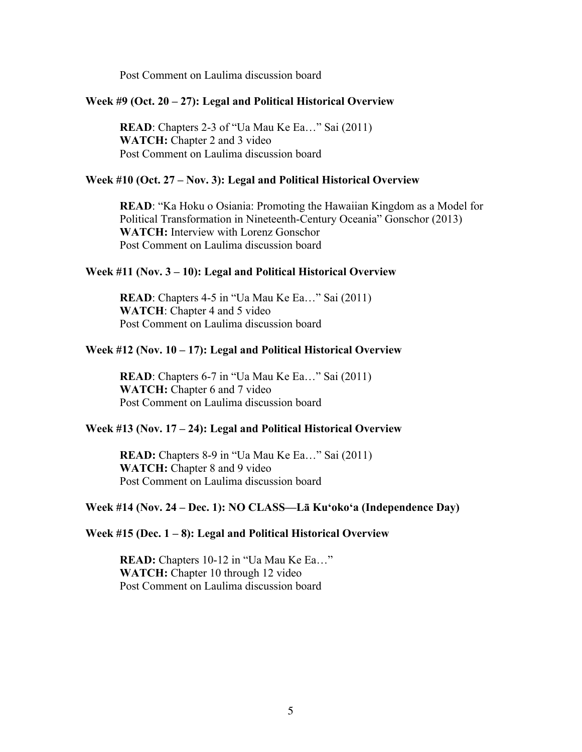Post Comment on Laulima discussion board

#### **Week #9 (Oct. 20 – 27): Legal and Political Historical Overview**

**READ**: Chapters 2-3 of "Ua Mau Ke Ea..." Sai (2011) **WATCH:** Chapter 2 and 3 video Post Comment on Laulima discussion board

#### **Week #10 (Oct. 27 – Nov. 3): Legal and Political Historical Overview**

**READ**: "Ka Hoku o Osiania: Promoting the Hawaiian Kingdom as a Model for Political Transformation in Nineteenth-Century Oceania" Gonschor (2013) **WATCH:** Interview with Lorenz Gonschor Post Comment on Laulima discussion board

### **Week #11 (Nov. 3 – 10): Legal and Political Historical Overview**

**READ**: Chapters 4-5 in "Ua Mau Ke Ea..." Sai (2011) **WATCH**: Chapter 4 and 5 video Post Comment on Laulima discussion board

### **Week #12 (Nov. 10 – 17): Legal and Political Historical Overview**

**READ**: Chapters 6-7 in "Ua Mau Ke Ea…" Sai (2011) **WATCH:** Chapter 6 and 7 video Post Comment on Laulima discussion board

#### **Week #13 (Nov. 17 – 24): Legal and Political Historical Overview**

**READ:** Chapters 8-9 in "Ua Mau Ke Ea…" Sai (2011) **WATCH:** Chapter 8 and 9 video Post Comment on Laulima discussion board

#### **Week #14 (Nov. 24 – Dec. 1): NO CLASS—Lā Kuʻokoʻa (Independence Day)**

#### **Week #15 (Dec. 1 – 8): Legal and Political Historical Overview**

**READ:** Chapters 10-12 in "Ua Mau Ke Ea…" WATCH: Chapter 10 through 12 video Post Comment on Laulima discussion board